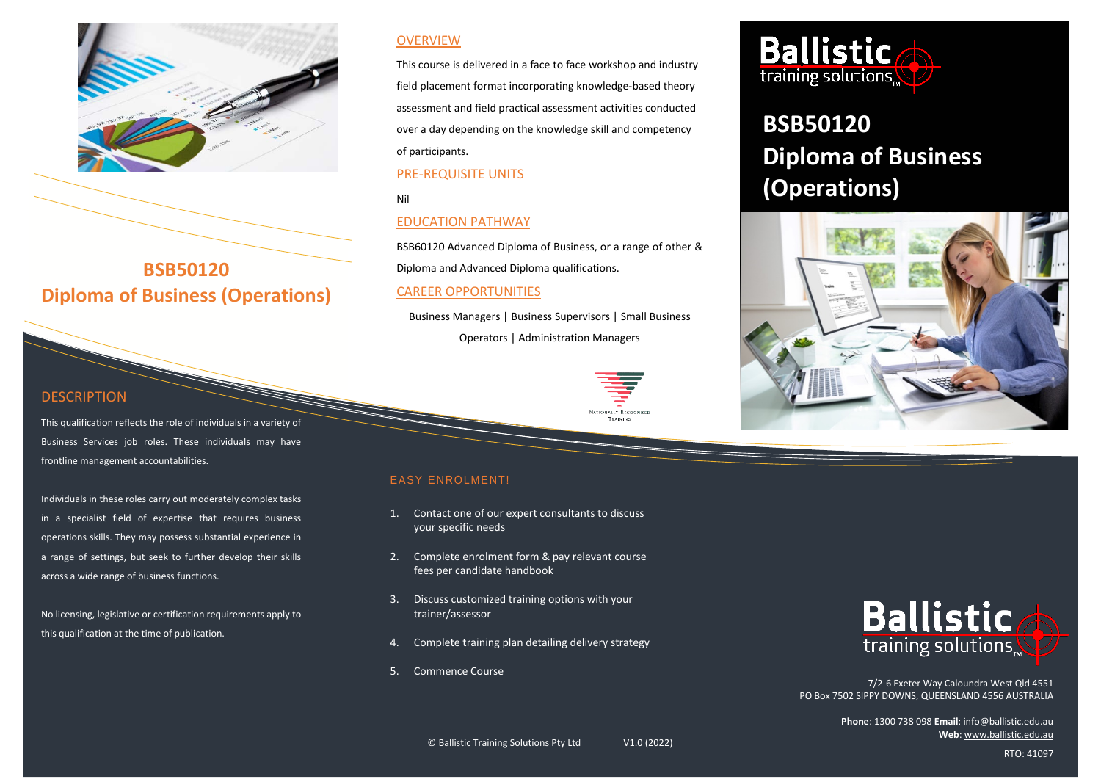

# **BSB50120 Diploma of Business (Operations)**

### **DESCRIPTION**

This qualification reflects the role of individuals in a variety of Business Services job roles. These individuals may have frontline management accountabilities.

Individuals in these roles carry out moderately complex tasks in a specialist field of expertise that requires business operations skills. They may possess substantial experience in a range of settings, but seek to further develop their skills across a wide range of business functions.

No licensing, legislative or certification requirements apply to this qualification at the time of publication.

### **OVERVIEW**

This course is delivered in a face to face workshop and industry field placement format incorporating knowledge-based theory assessment and field practical assessment activities conducted over a day depending on the knowledge skill and competency of participants.

### PRE-REQUISITE UNITS

Nil

### EDUCATION PATHWAY

BSB60120 Advanced Diploma of Business, or a range of other & Diploma and Advanced Diploma qualifications.

### CAREER OPPORTUNITIES

Business Managers | Business Supervisors | Small Business

Operators | Administration Managers



TRAINING

### EASY ENROLMENT!

- 1. Contact one of our expert consultants to discuss your specific needs
- 2. Complete enrolment form & pay relevant course fees per candidate handbook
- 3. Discuss customized training options with your trainer/assessor
- 4. Complete training plan detailing delivery strategy
- 5. Commence Course



# **BSB50120 Diploma of Business (Operations)**





7/2-6 Exeter Way Caloundra West Qld 4551 PO Box 7502 SIPPY DOWNS, QUEENSLAND 4556 AUSTRALIA

> **Phone**: 1300 738 098 **Email**: info@ballistic.edu.au **Web**[: www.ballistic.edu.au](http://www.ballistic.edu.au/)

RTO: 41097